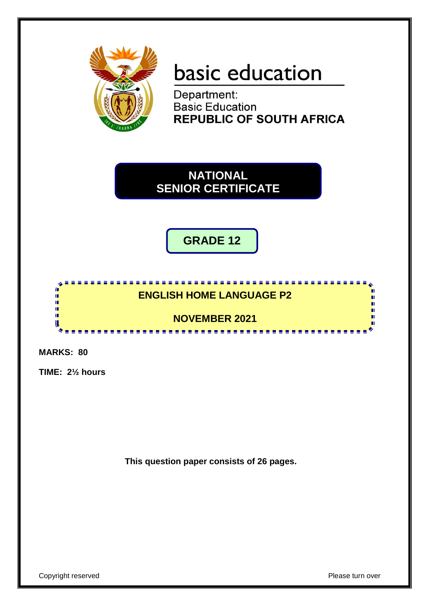

# basic education

Department: **Basic Education REPUBLIC OF SOUTH AFRICA** 

**NATIONAL SENIOR CERTIFICATE**

**GRADE 12**

# **ENGLISH HOME LANGUAGE P2**

**NOVEMBER 2021**

<u>....................</u>

**MARKS: 80**

II. T.

m

n. T

**TIME: 2½ hours**

**This question paper consists of 26 pages.**

ш

m.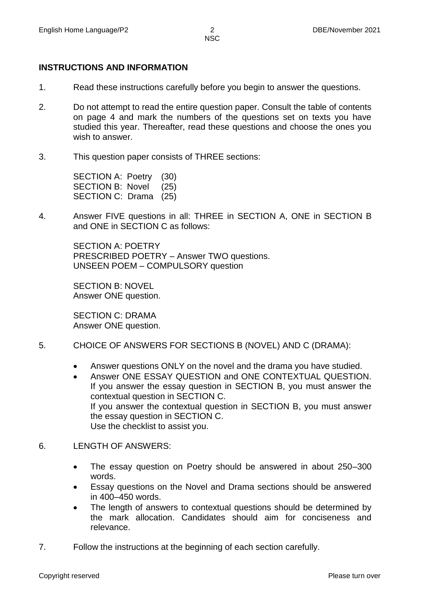#### **INSTRUCTIONS AND INFORMATION**

- 1. Read these instructions carefully before you begin to answer the questions.
- 2. Do not attempt to read the entire question paper. Consult the table of contents on page 4 and mark the numbers of the questions set on texts you have studied this year. Thereafter, read these questions and choose the ones you wish to answer.
- 3. This question paper consists of THREE sections:

SECTION A: Poetry (30) SECTION B: Novel (25) SECTION C: Drama (25)

4. Answer FIVE questions in all: THREE in SECTION A, ONE in SECTION B and ONE in SECTION C as follows:

> SECTION A: POETRY PRESCRIBED POETRY – Answer TWO questions. UNSEEN POEM – COMPULSORY question

SECTION B: NOVEL Answer ONE question.

SECTION C: DRAMA Answer ONE question.

#### 5. CHOICE OF ANSWERS FOR SECTIONS B (NOVEL) AND C (DRAMA):

- Answer questions ONLY on the novel and the drama you have studied.
- Answer ONE ESSAY QUESTION and ONE CONTEXTUAL QUESTION. If you answer the essay question in SECTION B, you must answer the contextual question in SECTION C. If you answer the contextual question in SECTION B, you must answer the essay question in SECTION C. Use the checklist to assist you.
- 6. LENGTH OF ANSWERS:
	- The essay question on Poetry should be answered in about 250–300 words.
	- Essay questions on the Novel and Drama sections should be answered in 400–450 words.
	- The length of answers to contextual questions should be determined by the mark allocation. Candidates should aim for conciseness and relevance.
- 7. Follow the instructions at the beginning of each section carefully.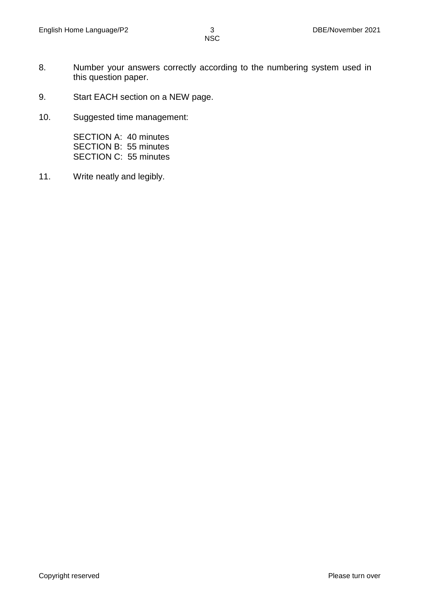- 8. Number your answers correctly according to the numbering system used in this question paper.
- 9. Start EACH section on a NEW page.
- 10. Suggested time management:

SECTION A: 40 minutes SECTION B: 55 minutes SECTION C: 55 minutes

11. Write neatly and legibly.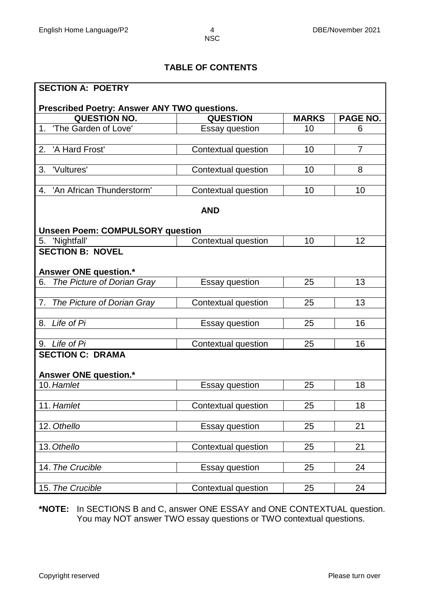#### **TABLE OF CONTENTS**

| <b>SECTION A: POETRY</b>                            |                       |              |                |
|-----------------------------------------------------|-----------------------|--------------|----------------|
| <b>Prescribed Poetry: Answer ANY TWO questions.</b> |                       |              |                |
| <b>QUESTION NO.</b>                                 | <b>QUESTION</b>       | <b>MARKS</b> | PAGE NO.       |
| 'The Garden of Love'<br>1.                          | <b>Essay question</b> | 10           | 6              |
|                                                     |                       |              |                |
| 'A Hard Frost'<br>2.                                | Contextual question   | 10           | $\overline{7}$ |
|                                                     |                       |              |                |
| 'Vultures'<br>3.                                    | Contextual question   | 10           | 8              |
| 'An African Thunderstorm'<br>4.                     | Contextual question   | 10           | 10             |
|                                                     | <b>AND</b>            |              |                |
| <b>Unseen Poem: COMPULSORY question</b>             |                       | 10           | 12             |
| 'Nightfall'<br>5.<br><b>SECTION B: NOVEL</b>        | Contextual question   |              |                |
| Answer ONE question.*                               |                       |              |                |
| The Picture of Dorian Gray<br>6.                    | Essay question        | 25           | 13             |
|                                                     |                       |              |                |
| The Picture of Dorian Gray<br>7.                    | Contextual question   | 25           | 13             |
| Life of Pi<br>8.                                    | <b>Essay question</b> | 25           | 16             |
|                                                     |                       |              |                |
| 9. Life of Pi                                       | Contextual question   | 25           | 16             |
| <b>SECTION C: DRAMA</b><br>Answer ONE question.*    |                       |              |                |
| 10. Hamlet                                          | Essay question        | 25           | 18             |
|                                                     |                       |              |                |
| 11. Hamlet                                          | Contextual question   | 25           | 18             |
|                                                     |                       |              |                |
| 12. Othello                                         | Essay question        | 25           | 21             |
|                                                     |                       |              | 21             |
| 13. Othello                                         | Contextual question   | 25           |                |
| 14. The Crucible                                    | Essay question        | 25           | 24             |
|                                                     |                       |              |                |
| 15. The Crucible                                    | Contextual question   | 25           | 24             |

#### **\*NOTE:** In SECTIONS B and C, answer ONE ESSAY and ONE CONTEXTUAL question. You may NOT answer TWO essay questions or TWO contextual questions.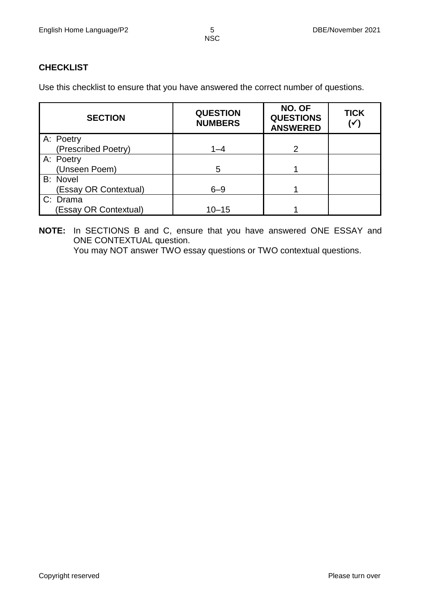#### **CHECKLIST**

Use this checklist to ensure that you have answered the correct number of questions.

| <b>SECTION</b>        | <b>QUESTION</b><br><b>NUMBERS</b> | NO. OF<br><b>QUESTIONS</b><br><b>ANSWERED</b> | <b>TICK</b><br>(✓ |
|-----------------------|-----------------------------------|-----------------------------------------------|-------------------|
| A: Poetry             |                                   |                                               |                   |
| (Prescribed Poetry)   | $1 - 4$                           | 2                                             |                   |
| A: Poetry             |                                   |                                               |                   |
| (Unseen Poem)         | 5                                 |                                               |                   |
| <b>B:</b> Novel       |                                   |                                               |                   |
| (Essay OR Contextual) | $6 - 9$                           |                                               |                   |
| C: Drama              |                                   |                                               |                   |
| (Essay OR Contextual) | $10 - 15$                         |                                               |                   |

**NOTE:** In SECTIONS B and C, ensure that you have answered ONE ESSAY and ONE CONTEXTUAL question.

You may NOT answer TWO essay questions or TWO contextual questions.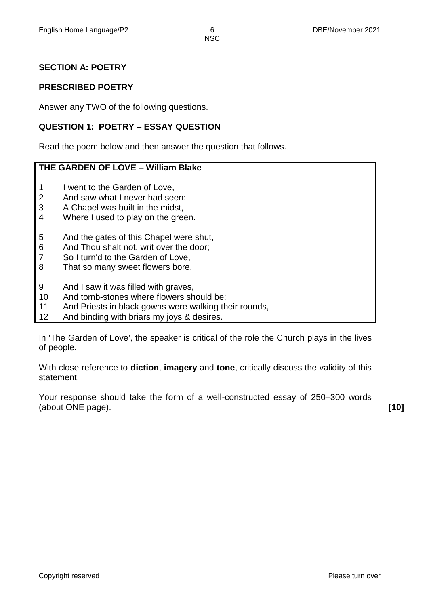#### **SECTION A: POETRY**

#### **PRESCRIBED POETRY**

Answer any TWO of the following questions.

#### **QUESTION 1: POETRY – ESSAY QUESTION**

Read the poem below and then answer the question that follows.

#### **THE GARDEN OF LOVE – William Blake**

- 1 I went to the Garden of Love,
- 2 And saw what I never had seen:
- 3 A Chapel was built in the midst,
- 4 Where I used to play on the green.
- 5 And the gates of this Chapel were shut,
- 6 And Thou shalt not. writ over the door;
- 7 So I turn'd to the Garden of Love,
- 8 That so many sweet flowers bore,
- 9 And I saw it was filled with graves,
- 10 And tomb-stones where flowers should be:
- 11 And Priests in black gowns were walking their rounds,
- 12 And binding with briars my joys & desires.

In 'The Garden of Love', the speaker is critical of the role the Church plays in the lives of people.

With close reference to **diction**, **imagery** and **tone**, critically discuss the validity of this statement.

Your response should take the form of a well-constructed essay of 250–300 words (about ONE page). **[10]**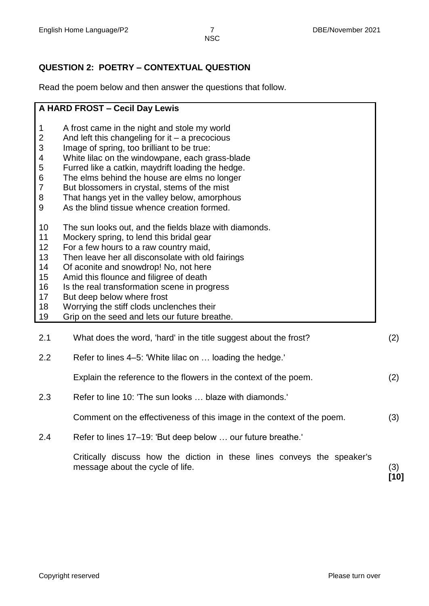#### **QUESTION 2: POETRY – CONTEXTUAL QUESTION**

Read the poem below and then answer the questions that follow.

#### **A HARD FROST – Cecil Day Lewis**

- 1 A frost came in the night and stole my world
- 2 And left this changeling for it – a precocious
- 3 Image of spring, too brilliant to be true:
- 4 White lilac on the windowpane, each grass-blade
- 5 Furred like a catkin, maydrift loading the hedge.
- 6 The elms behind the house are elms no longer
- 7 But blossomers in crystal, stems of the mist
- 8 That hangs yet in the valley below, amorphous
- 9 As the blind tissue whence creation formed.
- 10 The sun looks out, and the fields blaze with diamonds.
- 11 Mockery spring, to lend this bridal gear
- 12 For a few hours to a raw country maid,
- 13 Then leave her all disconsolate with old fairings
- 14 Of aconite and snowdrop! No, not here
- 15 Amid this flounce and filigree of death
- 16 Is the real transformation scene in progress
- 17 But deep below where frost
- 18 Worrying the stiff clods unclenches their

#### 19 Grip on the seed and lets our future breathe.

- 2.1 What does the word, 'hard' in the title suggest about the frost? (2) 2.2 Refer to lines 4–5: 'White lilac on … loading the hedge.' Explain the reference to the flowers in the context of the poem. (2) 2.3 Refer to line 10: 'The sun looks … blaze with diamonds.' Comment on the effectiveness of this image in the context of the poem. (3)
- 2.4 Refer to lines 17–19: 'But deep below … our future breathe.'

Critically discuss how the diction in these lines conveys the speaker's message about the cycle of life. (3)

**[10]**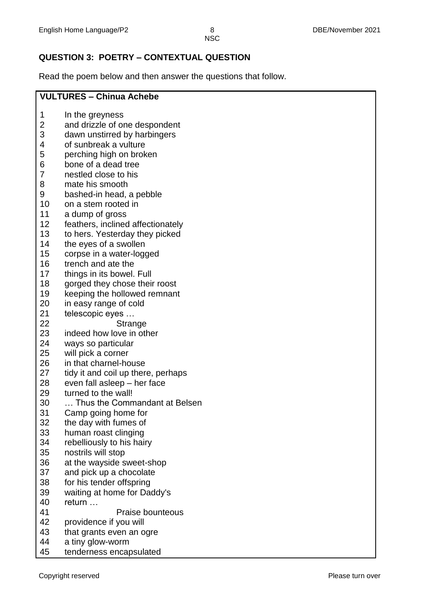#### **QUESTION 3: POETRY – CONTEXTUAL QUESTION**

Read the poem below and then answer the questions that follow.

|                | <b>VULTURES - Chinua Achebe</b>       |  |  |
|----------------|---------------------------------------|--|--|
| 1              | In the greyness                       |  |  |
| $\overline{2}$ | and drizzle of one despondent         |  |  |
| 3              | dawn unstirred by harbingers          |  |  |
| 4              | of sunbreak a vulture                 |  |  |
| 5              | perching high on broken               |  |  |
| 6              | bone of a dead tree                   |  |  |
| 7              | nestled close to his                  |  |  |
| 8              | mate his smooth                       |  |  |
| 9              | bashed-in head, a pebble              |  |  |
| 10             | on a stem rooted in                   |  |  |
| 11             | a dump of gross                       |  |  |
| 12             | feathers, inclined affectionately     |  |  |
| 13             | to hers. Yesterday they picked        |  |  |
| 14             | the eyes of a swollen                 |  |  |
| 15             | corpse in a water-logged              |  |  |
| 16             | trench and ate the                    |  |  |
| 17             | things in its bowel. Full             |  |  |
| 18             | gorged they chose their roost         |  |  |
| 19             | keeping the hollowed remnant          |  |  |
| 20             | in easy range of cold                 |  |  |
| 21             | telescopic eyes                       |  |  |
| 22             | Strange                               |  |  |
| 23             | indeed how love in other              |  |  |
| 24             | ways so particular                    |  |  |
| 25             | will pick a corner                    |  |  |
| 26             | in that charnel-house                 |  |  |
| 27             | tidy it and coil up there, perhaps    |  |  |
| 28             | even fall asleep - her face           |  |  |
| 29             | turned to the wall!                   |  |  |
| 30             | Thus the Commandant at Belsen         |  |  |
| 31             | Camp going home for                   |  |  |
| 32             | the day with fumes of                 |  |  |
| 33             | human roast clinging                  |  |  |
| 34             | rebelliously to his hairy             |  |  |
| 35             | nostrils will stop                    |  |  |
| 36<br>37       | at the wayside sweet-shop             |  |  |
|                | and pick up a chocolate               |  |  |
| 38<br>39       | for his tender offspring              |  |  |
| 40             | waiting at home for Daddy's<br>return |  |  |
| 41             | Praise bounteous                      |  |  |
| 42             | providence if you will                |  |  |
| 43             | that grants even an ogre              |  |  |
| 44             | a tiny glow-worm                      |  |  |
| 45             | tenderness encapsulated               |  |  |
|                |                                       |  |  |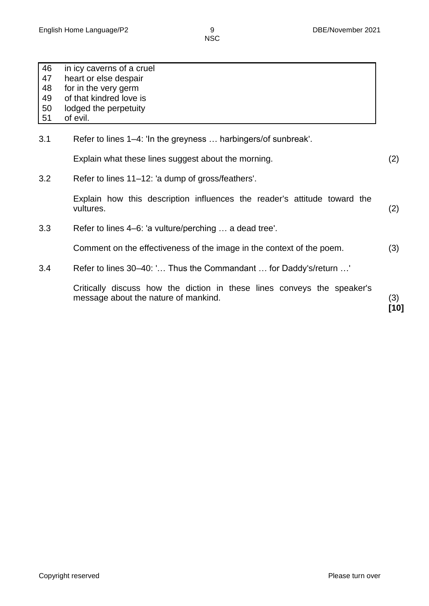| 46  | in icy caverns of a cruel                                                                                       |     |
|-----|-----------------------------------------------------------------------------------------------------------------|-----|
| 47  | heart or else despair                                                                                           |     |
| 48  | for in the very germ                                                                                            |     |
| 49  | of that kindred love is                                                                                         |     |
| 50  | lodged the perpetuity                                                                                           |     |
| 51  | of evil.                                                                                                        |     |
| 3.1 | Refer to lines 1–4: 'In the greyness  harbingers/of sunbreak'.                                                  |     |
|     | Explain what these lines suggest about the morning.                                                             | (2) |
| 3.2 | Refer to lines 11–12: 'a dump of gross/feathers'.                                                               |     |
|     | Explain how this description influences the reader's attitude toward the<br>vultures.                           | (2) |
| 3.3 | Refer to lines 4–6: 'a vulture/perching  a dead tree'.                                                          |     |
|     | Comment on the effectiveness of the image in the context of the poem.                                           | (3) |
| 3.4 | Refer to lines 30–40: ' Thus the Commandant  for Daddy's/return '                                               |     |
|     | Critically discuss how the diction in these lines conveys the speaker's<br>message about the nature of mankind. | (3) |

**[10]**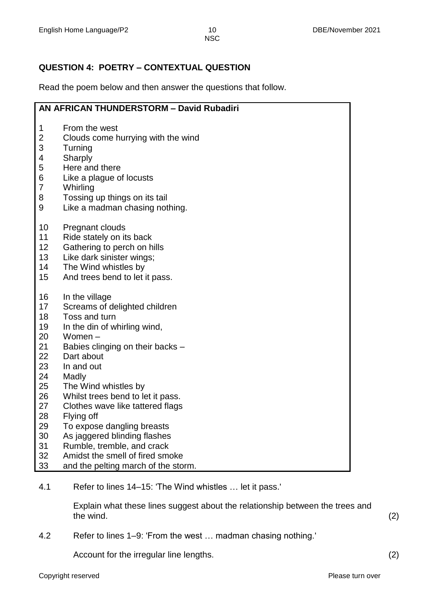#### **QUESTION 4: POETRY – CONTEXTUAL QUESTION**

Read the poem below and then answer the questions that follow.

|                | AN AFRICAN THUNDERSTORM - David Rubadiri |  |  |
|----------------|------------------------------------------|--|--|
|                |                                          |  |  |
| 1              | From the west                            |  |  |
| $\overline{2}$ | Clouds come hurrying with the wind       |  |  |
| 3              | Turning                                  |  |  |
| 4              | Sharply                                  |  |  |
| 5              | Here and there                           |  |  |
| 6              | Like a plague of locusts                 |  |  |
| $\overline{7}$ | Whirling                                 |  |  |
| 8              | Tossing up things on its tail            |  |  |
| 9              | Like a madman chasing nothing.           |  |  |
| 10             | Pregnant clouds                          |  |  |
| 11             | Ride stately on its back                 |  |  |
| 12             | Gathering to perch on hills              |  |  |
| 13             | Like dark sinister wings;                |  |  |
| 14             | The Wind whistles by                     |  |  |
| 15             | And trees bend to let it pass.           |  |  |
| 16             | In the village                           |  |  |
| 17             | Screams of delighted children            |  |  |
| 18             | Toss and turn                            |  |  |
| 19             | In the din of whirling wind,             |  |  |
| 20             | Women $-$                                |  |  |
| 21             | Babies clinging on their backs -         |  |  |
| 22             | Dart about                               |  |  |
| 23             | In and out                               |  |  |
| 24             | Madly                                    |  |  |
| 25             | The Wind whistles by                     |  |  |
| 26             | Whilst trees bend to let it pass.        |  |  |
| 27             | Clothes wave like tattered flags         |  |  |
| 28             | Flying off                               |  |  |
| 29             | To expose dangling breasts               |  |  |
| 30             | As jaggered blinding flashes             |  |  |
| 31             | Rumble, tremble, and crack               |  |  |
| 32             | Amidst the smell of fired smoke          |  |  |
| 33             | and the pelting march of the storm.      |  |  |

4.1 Refer to lines 14–15: 'The Wind whistles … let it pass.'

Explain what these lines suggest about the relationship between the trees and  $\hbox{the wind.} \tag{2}$ 

4.2 Refer to lines 1–9: 'From the west … madman chasing nothing.'

Account for the irregular line lengths. (2)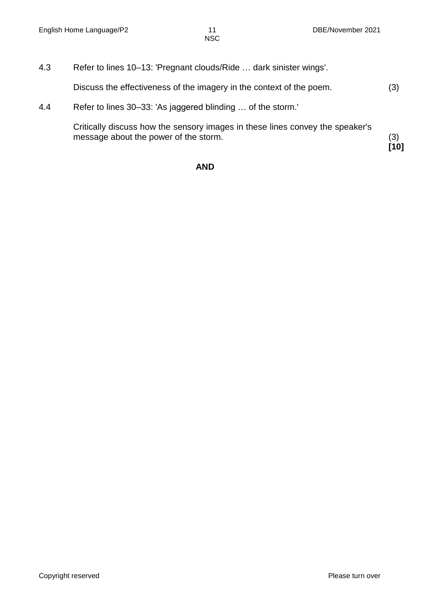4.3 Refer to lines 10–13: 'Pregnant clouds/Ride … dark sinister wings'.

Discuss the effectiveness of the imagery in the context of the poem. (3)

4.4 Refer to lines 30–33: 'As jaggered blinding … of the storm.'

Critically discuss how the sensory images in these lines convey the speaker's message about the power of the storm. (3)

**[10]**

**AND**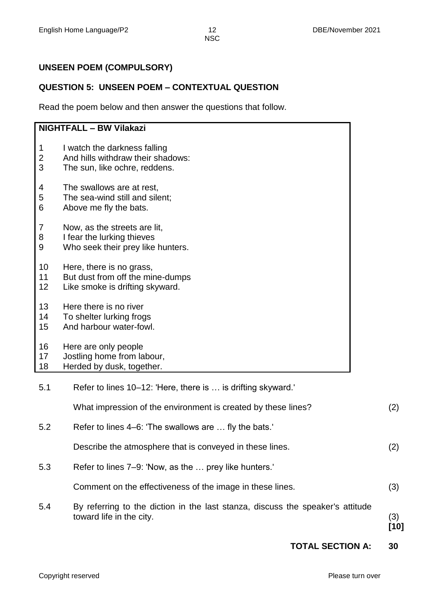#### **UNSEEN POEM (COMPULSORY)**

#### **QUESTION 5: UNSEEN POEM – CONTEXTUAL QUESTION**

Read the poem below and then answer the questions that follow.

#### **NIGHTFALL – BW Vilakazi**

- 1 I watch the darkness falling
- 2 And hills withdraw their shadows:
- 3 The sun, like ochre, reddens.
- 4 The swallows are at rest,
- 5 The sea-wind still and silent;
- 6 Above me fly the bats.
- 7 Now, as the streets are lit,
- 8 I fear the lurking thieves
- 9 Who seek their prey like hunters.
- 10 Here, there is no grass,
- 11 But dust from off the mine-dumps
- 12 Like smoke is drifting skyward.
- 13 Here there is no river
- 14 To shelter lurking frogs
- 15 And harbour water-fowl.
- 16 Here are only people
- 17 Jostling home from labour,
- 18 Herded by dusk, together.
- 5.1 Refer to lines 10–12: 'Here, there is … is drifting skyward.'

What impression of the environment is created by these lines? (2) 5.2 Refer to lines 4–6: 'The swallows are … fly the bats.' Describe the atmosphere that is conveyed in these lines. (2) 5.3 Refer to lines 7–9: 'Now, as the … prey like hunters.' Comment on the effectiveness of the image in these lines. (3)

5.4 By referring to the diction in the last stanza, discuss the speaker's attitude toward life in the city. (3)

**[10]**

**TOTAL SECTION A: 30**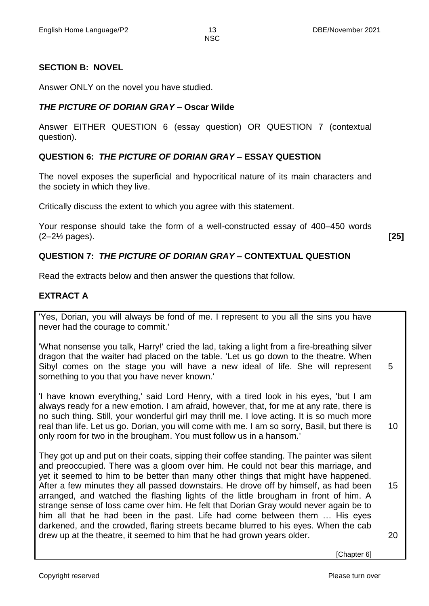#### **SECTION B: NOVEL**

Answer ONLY on the novel you have studied.

#### *THE PICTURE OF DORIAN GRAY* **– Oscar Wilde**

Answer EITHER QUESTION 6 (essay question) OR QUESTION 7 (contextual question).

#### **QUESTION 6:** *THE PICTURE OF DORIAN GRAY* **– ESSAY QUESTION**

The novel exposes the superficial and hypocritical nature of its main characters and the society in which they live.

Critically discuss the extent to which you agree with this statement.

Your response should take the form of a well-constructed essay of 400–450 words (2–2½ pages). **[25]**

#### **QUESTION 7:** *THE PICTURE OF DORIAN GRAY* **– CONTEXTUAL QUESTION**

Read the extracts below and then answer the questions that follow.

#### **EXTRACT A**

'Yes, Dorian, you will always be fond of me. I represent to you all the sins you have never had the courage to commit.'

'What nonsense you talk, Harry!' cried the lad, taking a light from a fire-breathing silver dragon that the waiter had placed on the table. 'Let us go down to the theatre. When Sibyl comes on the stage you will have a new ideal of life. She will represent something to you that you have never known.' 5

'I have known everything,' said Lord Henry, with a tired look in his eyes, 'but I am always ready for a new emotion. I am afraid, however, that, for me at any rate, there is no such thing. Still, your wonderful girl may thrill me. I love acting. It is so much more real than life. Let us go. Dorian, you will come with me. I am so sorry, Basil, but there is only room for two in the brougham. You must follow us in a hansom.' 10

They got up and put on their coats, sipping their coffee standing. The painter was silent and preoccupied. There was a gloom over him. He could not bear this marriage, and yet it seemed to him to be better than many other things that might have happened. After a few minutes they all passed downstairs. He drove off by himself, as had been arranged, and watched the flashing lights of the little brougham in front of him. A strange sense of loss came over him. He felt that Dorian Gray would never again be to him all that he had been in the past. Life had come between them … His eyes darkened, and the crowded, flaring streets became blurred to his eyes. When the cab drew up at the theatre, it seemed to him that he had grown years older. 15 20

[Chapter 6]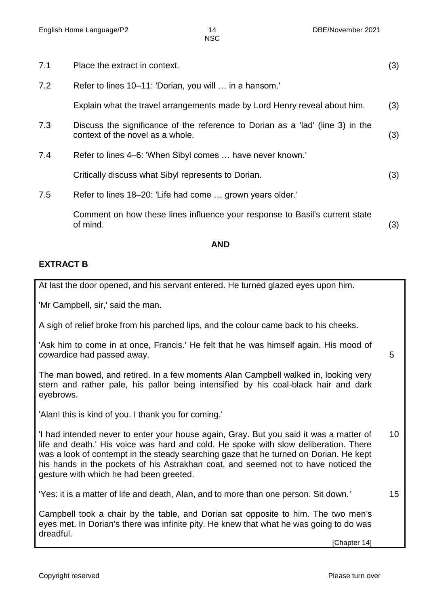| AND |                                                                                                                    |     |
|-----|--------------------------------------------------------------------------------------------------------------------|-----|
|     | Comment on how these lines influence your response to Basil's current state<br>of mind.                            | (3) |
| 7.5 | Refer to lines 18–20: 'Life had come  grown years older.'                                                          |     |
|     | Critically discuss what Sibyl represents to Dorian.                                                                | (3) |
| 7.4 | Refer to lines 4–6: 'When Sibyl comes  have never known.'                                                          |     |
| 7.3 | Discuss the significance of the reference to Dorian as a 'lad' (line 3) in the<br>context of the novel as a whole. | (3) |
|     | Explain what the travel arrangements made by Lord Henry reveal about him.                                          | (3) |
| 7.2 | Refer to lines 10-11: 'Dorian, you will  in a hansom.'                                                             |     |
| 7.1 | Place the extract in context.                                                                                      | (3) |

#### **EXTRACT B**

At last the door opened, and his servant entered. He turned glazed eyes upon him.

'Mr Campbell, sir,' said the man.

A sigh of relief broke from his parched lips, and the colour came back to his cheeks.

'Ask him to come in at once, Francis.' He felt that he was himself again. His mood of cowardice had passed away.

The man bowed, and retired. In a few moments Alan Campbell walked in, looking very stern and rather pale, his pallor being intensified by his coal-black hair and dark eyebrows.

'Alan! this is kind of you. I thank you for coming.'

'I had intended never to enter your house again, Gray. But you said it was a matter of life and death.' His voice was hard and cold. He spoke with slow deliberation. There was a look of contempt in the steady searching gaze that he turned on Dorian. He kept his hands in the pockets of his Astrakhan coat, and seemed not to have noticed the gesture with which he had been greeted. 10

'Yes: it is a matter of life and death, Alan, and to more than one person. Sit down.'

Campbell took a chair by the table, and Dorian sat opposite to him. The two men's eyes met. In Dorian's there was infinite pity. He knew that what he was going to do was dreadful.

[Chapter 14]

5

15

Copyright reserved **Please turn over the Copyright reserved** Please turn over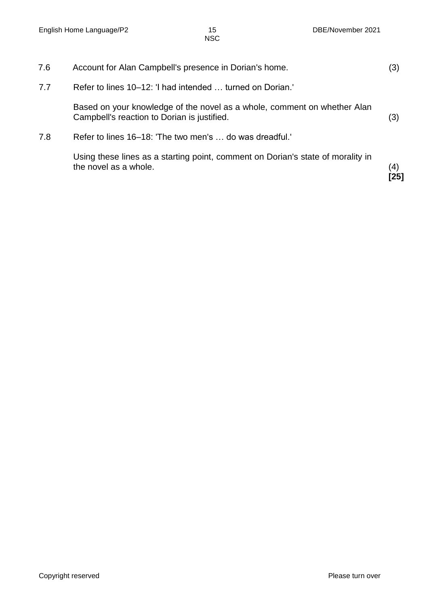**[25]**

7.6 Account for Alan Campbell's presence in Dorian's home. (3) 7.7 Refer to lines 10–12: 'I had intended … turned on Dorian.' Based on your knowledge of the novel as a whole, comment on whether Alan Campbell's reaction to Dorian is justified. (3) 7.8 Refer to lines 16–18: 'The two men's … do was dreadful.' Using these lines as a starting point, comment on Dorian's state of morality in

the novel as a whole.  $(4)$ 

Copyright reserved **Please** turn over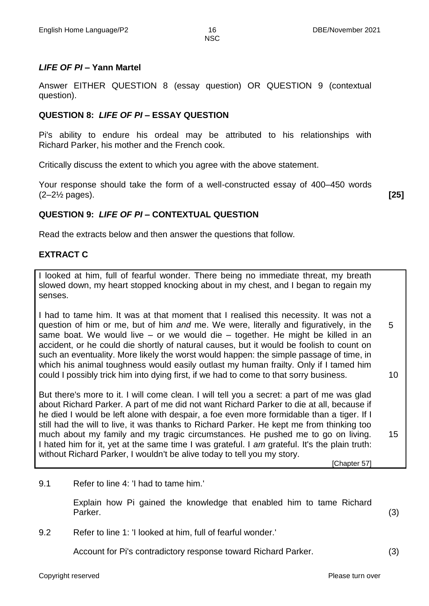#### *LIFE OF PI* **– Yann Martel**

Answer EITHER QUESTION 8 (essay question) OR QUESTION 9 (contextual question).

#### **QUESTION 8:** *LIFE OF PI* **– ESSAY QUESTION**

Pi's ability to endure his ordeal may be attributed to his relationships with Richard Parker, his mother and the French cook.

Critically discuss the extent to which you agree with the above statement.

Your response should take the form of a well-constructed essay of 400–450 words (2–2½ pages). **[25]**

#### **QUESTION 9:** *LIFE OF PI* **– CONTEXTUAL QUESTION**

Read the extracts below and then answer the questions that follow.

#### **EXTRACT C**

I looked at him, full of fearful wonder. There being no immediate threat, my breath slowed down, my heart stopped knocking about in my chest, and I began to regain my senses.

I had to tame him. It was at that moment that I realised this necessity. It was not a question of him or me, but of him *and* me. We were, literally and figuratively, in the same boat. We would live  $-$  or we would die  $-$  together. He might be killed in an accident, or he could die shortly of natural causes, but it would be foolish to count on such an eventuality. More likely the worst would happen: the simple passage of time, in which his animal toughness would easily outlast my human frailty. Only if I tamed him could I possibly trick him into dying first, if we had to come to that sorry business. 5 10

But there's more to it. I will come clean. I will tell you a secret: a part of me was glad about Richard Parker. A part of me did not want Richard Parker to die at all, because if he died I would be left alone with despair, a foe even more formidable than a tiger. If I still had the will to live, it was thanks to Richard Parker. He kept me from thinking too much about my family and my tragic circumstances. He pushed me to go on living. I hated him for it, yet at the same time I was grateful. I *am* grateful. It's the plain truth: without Richard Parker, I wouldn't be alive today to tell you my story. 15

[Chapter 57]

9.1 Refer to line 4: 'I had to tame him.'

Explain how Pi gained the knowledge that enabled him to tame Richard Parker. (3)

9.2 Refer to line 1: 'I looked at him, full of fearful wonder.'

Account for Pi's contradictory response toward Richard Parker. (3)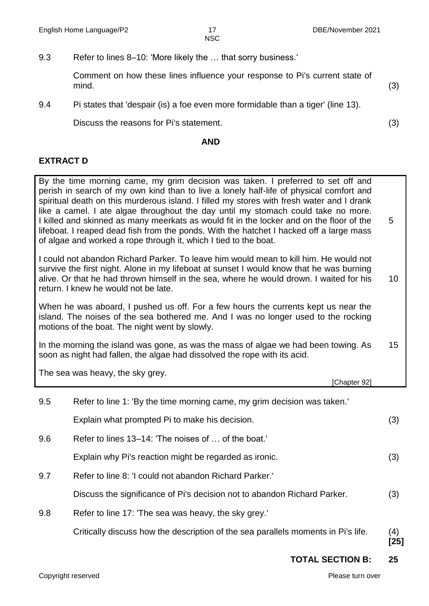9.3 Refer to lines 8–10: 'More likely the … that sorry business.'

Comment on how these lines influence your response to Pi's current state of  $\text{mind.} \tag{3}$ 

9.4 Pi states that 'despair (is) a foe even more formidable than a tiger' (line 13).

Discuss the reasons for Pi's statement. (3)

#### **AND**

#### **EXTRACT D**

By the time morning came, my grim decision was taken. I preferred to set off and perish in search of my own kind than to live a lonely half-life of physical comfort and spiritual death on this murderous island. I filled my stores with fresh water and I drank like a camel. I ate algae throughout the day until my stomach could take no more. I killed and skinned as many meerkats as would fit in the locker and on the floor of the lifeboat. I reaped dead fish from the ponds. With the hatchet I hacked off a large mass of algae and worked a rope through it, which I tied to the boat. I could not abandon Richard Parker. To leave him would mean to kill him. He would not survive the first night. Alone in my lifeboat at sunset I would know that he was burning alive. Or that he had thrown himself in the sea, where he would drown. I waited for his return. I knew he would not be late. When he was aboard, I pushed us off. For a few hours the currents kept us near the island. The noises of the sea bothered me. And I was no longer used to the rocking motions of the boat. The night went by slowly. In the morning the island was gone, as was the mass of algae we had been towing. As soon as night had fallen, the algae had dissolved the rope with its acid. The sea was heavy, the sky grey. [Chapter 92] 5 10 15 9.5 Refer to line 1: 'By the time morning came, my grim decision was taken.' Explain what prompted Pi to make his decision. (3) 9.6 Refer to lines 13–14: 'The noises of … of the boat.' Explain why Pi's reaction might be regarded as ironic. (3) 9.7 Refer to line 8: 'I could not abandon Richard Parker.' Discuss the significance of Pi's decision not to abandon Richard Parker. (3) 9.8 Refer to line 17: 'The sea was heavy, the sky grey.' Critically discuss how the description of the sea parallels moments in Pi's life. (4) **[25]**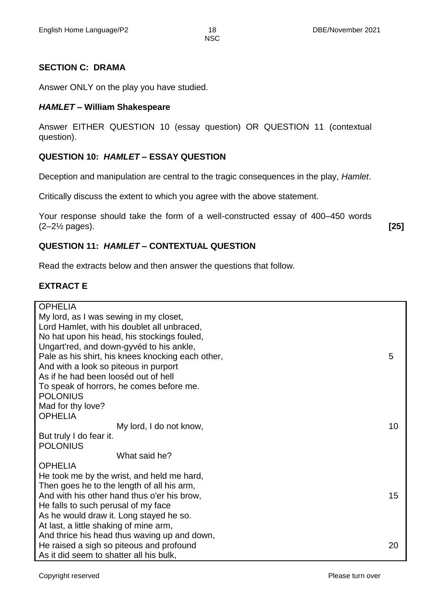#### **SECTION C: DRAMA**

Answer ONLY on the play you have studied.

#### *HAMLET* **– William Shakespeare**

Answer EITHER QUESTION 10 (essay question) OR QUESTION 11 (contextual question).

#### **QUESTION 10:** *HAMLET* **– ESSAY QUESTION**

Deception and manipulation are central to the tragic consequences in the play, *Hamlet*.

Critically discuss the extent to which you agree with the above statement.

Your response should take the form of a well-constructed essay of 400–450 words (2–2½ pages). **[25]**

#### **QUESTION 11:** *HAMLET* **– CONTEXTUAL QUESTION**

Read the extracts below and then answer the questions that follow.

#### **EXTRACT E**

| <b>OPHELIA</b>                                    |    |
|---------------------------------------------------|----|
| My lord, as I was sewing in my closet,            |    |
| Lord Hamlet, with his doublet all unbraced,       |    |
| No hat upon his head, his stockings fouled,       |    |
| Ungart'red, and down-gyvéd to his ankle,          |    |
| Pale as his shirt, his knees knocking each other, | 5  |
| And with a look so piteous in purport             |    |
| As if he had been looséd out of hell              |    |
| To speak of horrors, he comes before me.          |    |
| <b>POLONIUS</b>                                   |    |
| Mad for thy love?                                 |    |
| <b>OPHELIA</b>                                    |    |
| My lord, I do not know,                           | 10 |
| But truly I do fear it.                           |    |
| <b>POLONIUS</b>                                   |    |
| What said he?                                     |    |
| <b>OPHELIA</b>                                    |    |
| He took me by the wrist, and held me hard,        |    |
| Then goes he to the length of all his arm,        |    |
| And with his other hand thus o'er his brow,       | 15 |
| He falls to such perusal of my face               |    |
| As he would draw it. Long stayed he so.           |    |
| At last, a little shaking of mine arm,            |    |
| And thrice his head thus waving up and down,      |    |
| He raised a sigh so piteous and profound          | 20 |
| As it did seem to shatter all his bulk,           |    |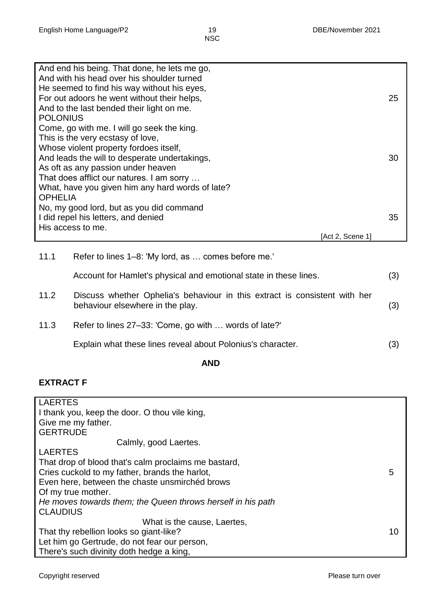And end his being. That done, he lets me go, And with his head over his shoulder turned He seemed to find his way without his eyes, For out adoors he went without their helps, And to the last bended their light on me. POLONIUS Come, go with me. I will go seek the king. This is the very ecstasy of love, Whose violent property fordoes itself, And leads the will to desperate undertakings, As oft as any passion under heaven That does afflict our natures. I am sorry … What, have you given him any hard words of late? **OPHELIA** No, my good lord, but as you did command I did repel his letters, and denied His access to me. [Act 2, Scene 1] 25 30 35

- 11.1 Refer to lines 1–8: 'My lord, as … comes before me.' Account for Hamlet's physical and emotional state in these lines. (3)
- 11.2 Discuss whether Ophelia's behaviour in this extract is consistent with her behaviour elsewhere in the play. (3) behaviour elsewhere in the play.
- 11.3 Refer to lines 27–33: 'Come, go with … words of late?'

Explain what these lines reveal about Polonius's character. (3)

#### **AND**

### **EXTRACT F**

| <b>LAERTES</b>                                              |    |  |
|-------------------------------------------------------------|----|--|
| I thank you, keep the door. O thou vile king,               |    |  |
| Give me my father.                                          |    |  |
| <b>GERTRUDE</b>                                             |    |  |
| Calmly, good Laertes.                                       |    |  |
| <b>LAERTES</b>                                              |    |  |
| That drop of blood that's calm proclaims me bastard,        |    |  |
| Cries cuckold to my father, brands the harlot,              | 5  |  |
| Even here, between the chaste unsmirchéd brows              |    |  |
| Of my true mother.                                          |    |  |
| He moves towards them; the Queen throws herself in his path |    |  |
| <b>CLAUDIUS</b>                                             |    |  |
| What is the cause, Laertes,                                 |    |  |
| That thy rebellion looks so giant-like?                     | 10 |  |
| Let him go Gertrude, do not fear our person,                |    |  |
| There's such divinity doth hedge a king,                    |    |  |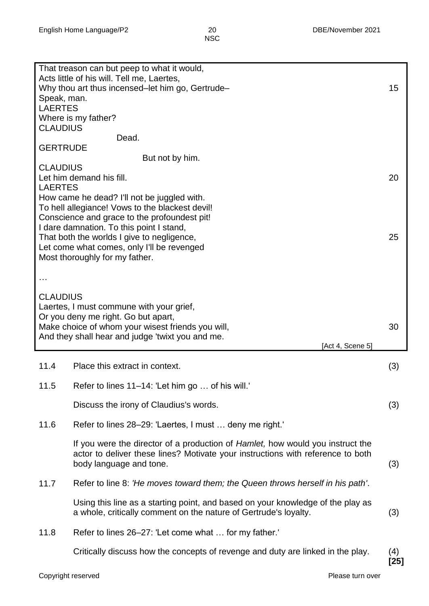That treason can but peep to what it would, Acts little of his will. Tell me, Laertes, Why thou art thus incensed–let him go, Gertrude– Speak, man. LAERTES Where is my father? **CLAUDIUS** Dead. **GERTRUDE** But not by him. **CLAUDIUS** Let him demand his fill. LAERTES How came he dead? I'll not be juggled with. To hell allegiance! Vows to the blackest devil! Conscience and grace to the profoundest pit! I dare damnation. To this point I stand, That both the worlds I give to negligence, Let come what comes, only I'll be revenged Most thoroughly for my father. … CLAUDIUS Laertes, I must commune with your grief, Or you deny me right. Go but apart, Make choice of whom your wisest friends you will, And they shall hear and judge 'twixt you and me. [Act 4, Scene 5] 15 20 25 30 11.4 Place this extract in context. (3) 11.5 Refer to lines 11–14: 'Let him go … of his will.' Discuss the irony of Claudius's words. (3) 11.6 Refer to lines 28–29: 'Laertes, I must … deny me right.' If you were the director of a production of *Hamlet,* how would you instruct the actor to deliver these lines? Motivate your instructions with reference to both body language and tone. (3) 11.7 Refer to line 8: *'He moves toward them; the Queen throws herself in his path'*. Using this line as a starting point, and based on your knowledge of the play as a whole, critically comment on the nature of Gertrude's loyalty. (3) 11.8 Refer to lines 26–27: 'Let come what … for my father.' Critically discuss how the concepts of revenge and duty are linked in the play. (4) **[25]**

**NSC**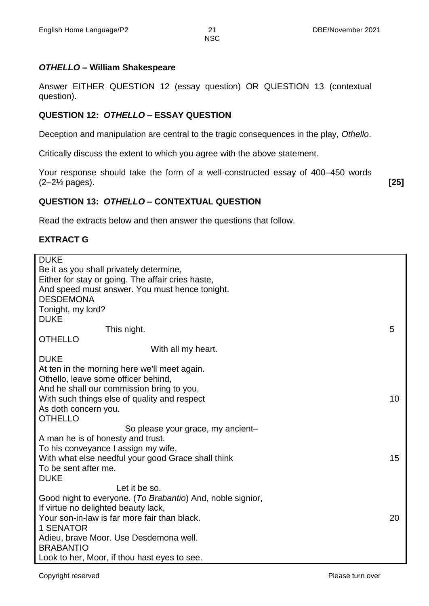#### *OTHELLO* **– William Shakespeare**

Answer EITHER QUESTION 12 (essay question) OR QUESTION 13 (contextual question).

#### **QUESTION 12:** *OTHELLO* **– ESSAY QUESTION**

Deception and manipulation are central to the tragic consequences in the play, *Othello*.

Critically discuss the extent to which you agree with the above statement.

Your response should take the form of a well-constructed essay of 400–450 words (2–2½ pages). **[25]**

#### **QUESTION 13:** *OTHELLO* **– CONTEXTUAL QUESTION**

Read the extracts below and then answer the questions that follow.

#### **EXTRACT G**

| <b>DUKE</b>                                                |    |
|------------------------------------------------------------|----|
| Be it as you shall privately determine,                    |    |
| Either for stay or going. The affair cries haste,          |    |
| And speed must answer. You must hence tonight.             |    |
| <b>DESDEMONA</b>                                           |    |
| Tonight, my lord?                                          |    |
| <b>DUKE</b>                                                |    |
| This night.                                                | 5  |
| <b>OTHELLO</b>                                             |    |
| With all my heart.                                         |    |
| <b>DUKE</b>                                                |    |
| At ten in the morning here we'll meet again.               |    |
| Othello, leave some officer behind,                        |    |
| And he shall our commission bring to you,                  |    |
| With such things else of quality and respect               | 10 |
| As doth concern you.                                       |    |
| <b>OTHELLO</b>                                             |    |
| So please your grace, my ancient-                          |    |
| A man he is of honesty and trust.                          |    |
| To his conveyance I assign my wife,                        |    |
| With what else needful your good Grace shall think         | 15 |
| To be sent after me.                                       |    |
| <b>DUKE</b>                                                |    |
| Let it be so.                                              |    |
| Good night to everyone. (To Brabantio) And, noble signior, |    |
| If virtue no delighted beauty lack,                        |    |
| Your son-in-law is far more fair than black.               | 20 |
| <b>1 SENATOR</b>                                           |    |
| Adieu, brave Moor. Use Desdemona well.                     |    |
| <b>BRABANTIO</b>                                           |    |
| Look to her, Moor, if thou hast eyes to see.               |    |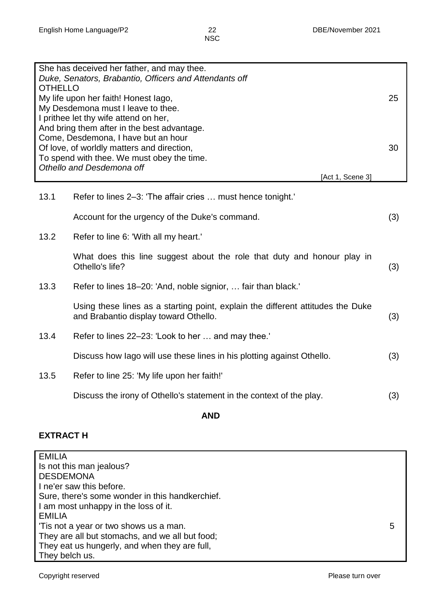| <b>OTHELLO</b> | She has deceived her father, and may thee.<br>Duke, Senators, Brabantio, Officers and Attendants off<br>My life upon her faith! Honest lago,                                                                                                                                                                   | 25  |
|----------------|----------------------------------------------------------------------------------------------------------------------------------------------------------------------------------------------------------------------------------------------------------------------------------------------------------------|-----|
|                | My Desdemona must I leave to thee.<br>I prithee let thy wife attend on her,<br>And bring them after in the best advantage.<br>Come, Desdemona, I have but an hour<br>Of love, of worldly matters and direction,<br>To spend with thee. We must obey the time.<br>Othello and Desdemona off<br>[Act 1, Scene 3] | 30  |
| 13.1           | Refer to lines 2-3: 'The affair cries  must hence tonight.'                                                                                                                                                                                                                                                    |     |
|                | Account for the urgency of the Duke's command.                                                                                                                                                                                                                                                                 | (3) |
| 13.2           | Refer to line 6: 'With all my heart.'                                                                                                                                                                                                                                                                          |     |
|                | What does this line suggest about the role that duty and honour play in<br>Othello's life?                                                                                                                                                                                                                     | (3) |
| 13.3           | Refer to lines 18-20: 'And, noble signior,  fair than black.'                                                                                                                                                                                                                                                  |     |
|                | Using these lines as a starting point, explain the different attitudes the Duke<br>and Brabantio display toward Othello.                                                                                                                                                                                       | (3) |
| 13.4           | Refer to lines 22-23: 'Look to her  and may thee.'                                                                                                                                                                                                                                                             |     |
|                | Discuss how lago will use these lines in his plotting against Othello.                                                                                                                                                                                                                                         | (3) |
| 13.5           | Refer to line 25: 'My life upon her faith!'                                                                                                                                                                                                                                                                    |     |
|                | Discuss the irony of Othello's statement in the context of the play.                                                                                                                                                                                                                                           | (3) |

### **AND**

## **EXTRACT H**

| <b>EMILIA</b>                                   |   |
|-------------------------------------------------|---|
| Is not this man jealous?                        |   |
| <b>DESDEMONA</b>                                |   |
| I ne'er saw this before.                        |   |
| Sure, there's some wonder in this handkerchief. |   |
| I am most unhappy in the loss of it.            |   |
| <b>EMILIA</b>                                   |   |
| Tis not a year or two shows us a man.           | 5 |
| They are all but stomachs, and we all but food; |   |
| They eat us hungerly, and when they are full,   |   |
| They belch us.                                  |   |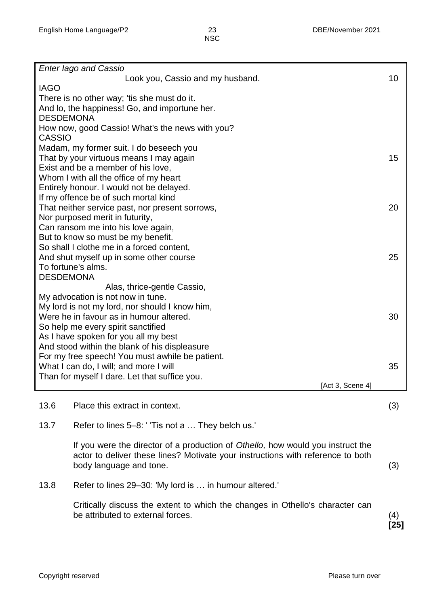|                                                 | <b>Enter lago and Cassio</b>                                                    |                  |     |
|-------------------------------------------------|---------------------------------------------------------------------------------|------------------|-----|
|                                                 | Look you, Cassio and my husband.                                                |                  | 10  |
| <b>IAGO</b>                                     |                                                                                 |                  |     |
|                                                 | There is no other way; 'tis she must do it.                                     |                  |     |
|                                                 | And lo, the happiness! Go, and importune her.                                   |                  |     |
| <b>DESDEMONA</b>                                |                                                                                 |                  |     |
|                                                 | How now, good Cassio! What's the news with you?                                 |                  |     |
| <b>CASSIO</b>                                   |                                                                                 |                  |     |
|                                                 | Madam, my former suit. I do beseech you                                         |                  |     |
|                                                 | That by your virtuous means I may again                                         |                  |     |
|                                                 | Exist and be a member of his love,                                              |                  |     |
|                                                 | Whom I with all the office of my heart                                          |                  |     |
|                                                 | Entirely honour. I would not be delayed.                                        |                  |     |
|                                                 | If my offence be of such mortal kind                                            |                  |     |
|                                                 | That neither service past, nor present sorrows,                                 |                  |     |
|                                                 | Nor purposed merit in futurity,                                                 |                  |     |
|                                                 | Can ransom me into his love again,                                              |                  |     |
|                                                 | But to know so must be my benefit.                                              |                  |     |
|                                                 | So shall I clothe me in a forced content,                                       |                  |     |
|                                                 | And shut myself up in some other course                                         |                  | 25  |
|                                                 | To fortune's alms.                                                              |                  |     |
| <b>DESDEMONA</b>                                |                                                                                 |                  |     |
|                                                 | Alas, thrice-gentle Cassio,                                                     |                  |     |
|                                                 | My advocation is not now in tune.                                               |                  |     |
|                                                 | My lord is not my lord, nor should I know him,                                  |                  |     |
|                                                 | Were he in favour as in humour altered.                                         |                  | 30  |
| So help me every spirit sanctified              |                                                                                 |                  |     |
|                                                 | As I have spoken for you all my best                                            |                  |     |
|                                                 | And stood within the blank of his displeasure                                   |                  |     |
| For my free speech! You must awhile be patient. |                                                                                 |                  | 35  |
|                                                 | What I can do, I will; and more I will                                          |                  |     |
|                                                 | Than for myself I dare. Let that suffice you.                                   |                  |     |
|                                                 |                                                                                 | [Act 3, Scene 4] |     |
|                                                 |                                                                                 |                  |     |
| 13.6                                            | Place this extract in context.                                                  |                  | (3) |
|                                                 |                                                                                 |                  |     |
| 13.7                                            | Refer to lines 5–8: 'Tis not a  They belch us.'                                 |                  |     |
|                                                 | If you were the director of a production of Othello, how would you instruct the |                  |     |
|                                                 | actor to deliver these lines? Motivate your instructions with reference to both |                  |     |
|                                                 | body language and tone.                                                         |                  | (3) |
|                                                 |                                                                                 |                  |     |

13.8 Refer to lines 29–30: 'My lord is … in humour altered.'

Critically discuss the extent to which the changes in Othello's character can be attributed to external forces. (4)

**[25]**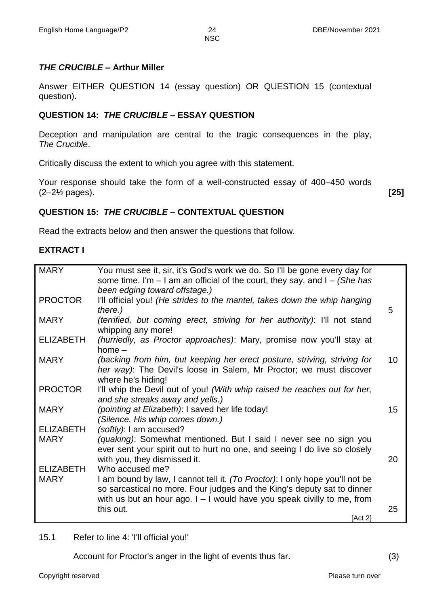#### *THE CRUCIBLE* **– Arthur Miller**

Answer EITHER QUESTION 14 (essay question) OR QUESTION 15 (contextual question).

#### **QUESTION 14:** *THE CRUCIBLE* **– ESSAY QUESTION**

Deception and manipulation are central to the tragic consequences in the play, *The Crucible*.

Critically discuss the extent to which you agree with this statement.

Your response should take the form of a well-constructed essay of 400–450 words (2–2½ pages). **[25]**

#### **QUESTION 15:** *THE CRUCIBLE* **– CONTEXTUAL QUESTION**

Read the extracts below and then answer the questions that follow.

#### **EXTRACT I**

| <b>MARY</b>      | You must see it, sir, it's God's work we do. So I'll be gone every day for   |    |
|------------------|------------------------------------------------------------------------------|----|
|                  | some time. I'm $-$ I am an official of the court, they say, and I – (She has |    |
|                  | been edging toward offstage.)                                                |    |
| <b>PROCTOR</b>   | I'll official you! (He strides to the mantel, takes down the whip hanging    |    |
|                  | there.)                                                                      | 5  |
| <b>MARY</b>      | (terrified, but coming erect, striving for her authority): I'll not stand    |    |
|                  | whipping any more!                                                           |    |
| <b>ELIZABETH</b> | (hurriedly, as Proctor approaches): Mary, promise now you'll stay at         |    |
|                  | $home -$                                                                     |    |
| <b>MARY</b>      | (backing from him, but keeping her erect posture, striving, striving for     | 10 |
|                  | her way): The Devil's loose in Salem, Mr Proctor; we must discover           |    |
|                  | where he's hiding!                                                           |    |
| <b>PROCTOR</b>   | I'll whip the Devil out of you! (With whip raised he reaches out for her,    |    |
|                  | and she streaks away and yells.)                                             |    |
| <b>MARY</b>      | (pointing at Elizabeth): I saved her life today!                             | 15 |
|                  | (Silence. His whip comes down.)                                              |    |
| <b>ELIZABETH</b> | (softly): I am accused?                                                      |    |
| <b>MARY</b>      | (quaking): Somewhat mentioned. But I said I never see no sign you            |    |
|                  | ever sent your spirit out to hurt no one, and seeing I do live so closely    |    |
|                  | with you, they dismissed it.                                                 | 20 |
| <b>ELIZABETH</b> | Who accused me?                                                              |    |
| <b>MARY</b>      | I am bound by law, I cannot tell it. (To Proctor): I only hope you'll not be |    |
|                  | so sarcastical no more. Four judges and the King's deputy sat to dinner      |    |
|                  | with us but an hour ago. $I - I$ would have you speak civilly to me, from    |    |
|                  | this out.                                                                    | 25 |
|                  | [Act 2]                                                                      |    |

15.1 Refer to line 4: 'I'll official you!'

Account for Proctor's anger in the light of events thus far. (3)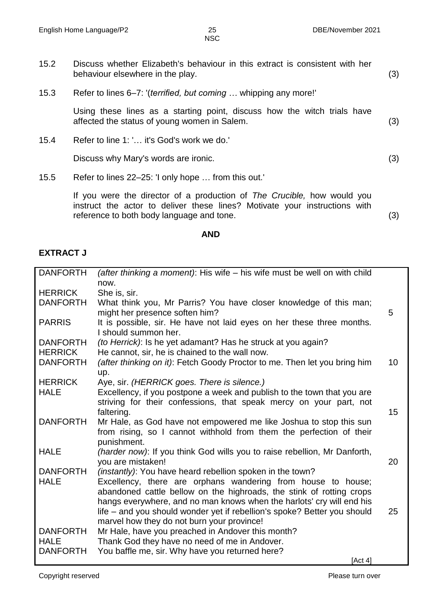- 15.2 Discuss whether Elizabeth's behaviour in this extract is consistent with her behaviour elsewhere in the play. (3) 15.3 Refer to lines 6–7: '(*terrified, but coming …* whipping any more!' Using these lines as a starting point, discuss how the witch trials have affected the status of young women in Salem. (3)
- 15.4 Refer to line 1: '… it's God's work we do.'

Discuss why Mary's words are ironic. (3)

15.5 Refer to lines 22–25: 'I only hope … from this out.'

If you were the director of a production of *The Crucible,* how would you instruct the actor to deliver these lines? Motivate your instructions with reference to both body language and tone. (3)

#### **AND**

#### **EXTRACT J**

| <b>DANFORTH</b> | (after thinking a moment): His wife - his wife must be well on with child                                                            |    |
|-----------------|--------------------------------------------------------------------------------------------------------------------------------------|----|
|                 | now.                                                                                                                                 |    |
| <b>HERRICK</b>  | She is, sir.                                                                                                                         |    |
| <b>DANFORTH</b> | What think you, Mr Parris? You have closer knowledge of this man;<br>might her presence soften him?                                  | 5  |
| <b>PARRIS</b>   | It is possible, sir. He have not laid eyes on her these three months.<br>I should summon her.                                        |    |
| <b>DANFORTH</b> | (to Herrick): Is he yet adamant? Has he struck at you again?                                                                         |    |
| <b>HERRICK</b>  | He cannot, sir, he is chained to the wall now.                                                                                       |    |
| <b>DANFORTH</b> | (after thinking on it): Fetch Goody Proctor to me. Then let you bring him<br>up.                                                     | 10 |
| <b>HERRICK</b>  | Aye, sir. (HERRICK goes. There is silence.)                                                                                          |    |
| <b>HALE</b>     | Excellency, if you postpone a week and publish to the town that you are                                                              |    |
|                 | striving for their confessions, that speak mercy on your part, not                                                                   |    |
|                 | faltering.                                                                                                                           | 15 |
| <b>DANFORTH</b> | Mr Hale, as God have not empowered me like Joshua to stop this sun                                                                   |    |
|                 | from rising, so I cannot withhold from them the perfection of their<br>punishment.                                                   |    |
| <b>HALE</b>     | (harder now): If you think God wills you to raise rebellion, Mr Danforth,                                                            |    |
|                 | you are mistaken!                                                                                                                    | 20 |
| <b>DANFORTH</b> | <i>(instantly)</i> : You have heard rebellion spoken in the town?                                                                    |    |
| <b>HALE</b>     | Excellency, there are orphans wandering from house to house;<br>abandoned cattle bellow on the highroads, the stink of rotting crops |    |
|                 | hangs everywhere, and no man knows when the harlots' cry will end his                                                                |    |
|                 | life – and you should wonder yet if rebellion's spoke? Better you should                                                             | 25 |
|                 | marvel how they do not burn your province!                                                                                           |    |
| <b>DANFORTH</b> | Mr Hale, have you preached in Andover this month?                                                                                    |    |
| <b>HALE</b>     | Thank God they have no need of me in Andover.                                                                                        |    |
| <b>DANFORTH</b> | You baffle me, sir. Why have you returned here?                                                                                      |    |
|                 | $\mathbf{I}$ $\mathbf{A}$ $\mathbf{A}$ $\mathbf{I}$                                                                                  |    |

[Act 4]